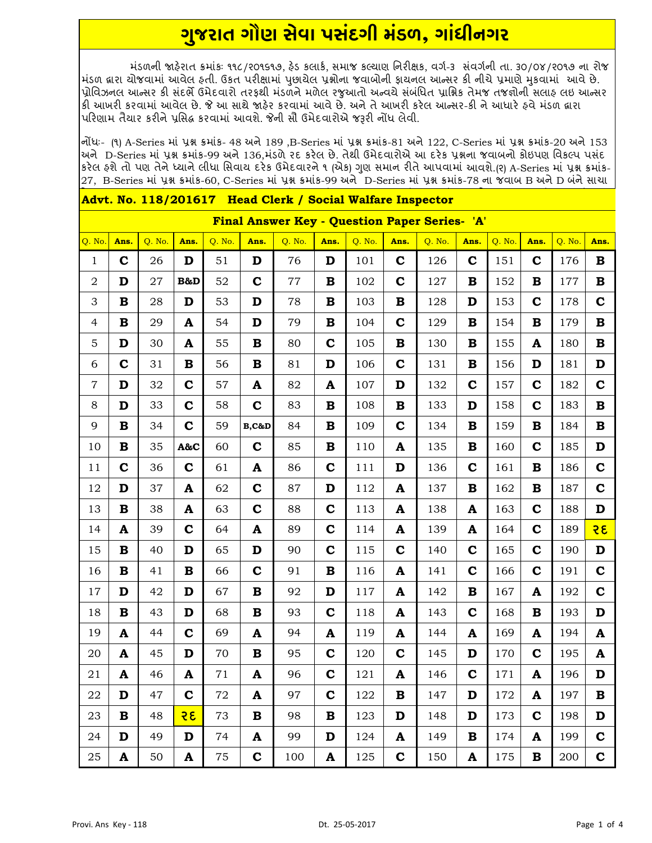## <u>ગુજરાત ગૌણ સેવા પસંદગી મંડળ, ગાંધીનગર</u>

મંડળની જાહેરાત ક્રમાંકઃ ૧૧૮/૨૦૧૬૧૭. હેડ કલાર્ક. સમાજ કલ્યાણ નિરીક્ષક. વર્ગ-૩ સંવર્ગની તા. ૩૦/૦૪/૨૦૧૭ ના રોજ મંડળ દ્વારા ચોજવામાં આવેલ ફતી. ઉકત પરીક્ષામાં પુછાચેલ પ્રશ્નોના જવાબોની ફાયનલ આન્સર કી નીચે પ્રમાણે મુકવામાં આવે છે. પ્રોવિઝનલ આન્સર કી સંદર્ભે ઉમેદવારો તરફથી મંડળને મળેલ રજુઆતો અન્વયે સંબંધિત પ્રાશ્નિક તેમજ તજજ્ઞોની સલાફ લઇ આન્સર કી આખરી કરવામાં આવેલ છે. જે આ સાથે જાફેર કરવામાં આવે છે. અને તે આખરી કરેલ આન્સર-કી ને આધારે ફવે મંડળ દ્વારા પરિણામ તૈયાર કરીને પ્રસિદ્ધ કરવામાં આવશે. જેની સૌ ઉમેદવારોએ જરૂરી નોંધ લેવી.

નોંધઃ- (૧) A-Series માં પ્રશ્ન ક્રમાંક- 48 અને 189 ,B-Series માં પ્રશ્ન ક્રમાંક-81 અને 122, C-Series માં પ્રશ્ન ક્રમાંક-20 અને 153 |અને D-Series માં પ્રશ્ન ક્રમાંક-99 અને 136,મંડળે ૨દ કરેલ છે. તેથી ઉમેદવારોએ આ દરેક પ્રશ્નના જવાબનો કોઇપણ વિકલ્પ પસંદ કરેલ હશે તો પણ તેને ધ્યાને લીધા સિવાય દરેક ઉમેદવારને ૧ (એક) ગુણ સમાન રીતે આપવામાં આવશે.(ર) A-Series માં પ્રશ્ન કમાંક-27, B-Series માં પ્રશ્ન ક્રમાંક-60, C-Series માં પ્રશ્ન ક્રમાંક-99 અને D-Series માં પ્રશ્ન ક્રમાંક-78 ના જવાબ B અને D બંને સાચા

| Final Answer Key - Question Paper Series- 'A' |             |        |                           |        |              |         |             |        |                           |        |                           |        |              |        |              |
|-----------------------------------------------|-------------|--------|---------------------------|--------|--------------|---------|-------------|--------|---------------------------|--------|---------------------------|--------|--------------|--------|--------------|
| Q. No.                                        | Ans.        | Q. No. | Ans.                      | Q. No. | Ans.         | Q. No.  | Ans.        | Q. No. | Ans.                      | Q. No. | Ans.                      | Q. No. | Ans.         | Q. No. | Ans.         |
| $\mathbf{1}$                                  | $\mathbf c$ | 26     | D                         | 51     | D            | 76      | D           | 101    | $\mathbf C$               | 126    | $\mathbf c$               | 151    | $\mathbf C$  | 176    | $\mathbf B$  |
| $\mathbf 2$                                   | D           | $27\,$ | B&D                       | 52     | $\mathbf C$  | $77 \,$ | $\bf{B}$    | 102    | $\mathbf C$               | 127    | B                         | 152    | В            | 177    | $\mathbf B$  |
| $\ensuremath{\mathsf{3}}$                     | В           | 28     | D                         | 53     | D            | 78      | B           | 103    | B                         | 128    | D                         | 153    | $\mathbf c$  | 178    | $\mathbf c$  |
| $\overline{4}$                                | $\mathbf B$ | 29     | $\mathbf{A}$              | 54     | D            | 79      | $\mathbf B$ | 104    | $\mathbf C$               | 129    | $\mathbf B$               | 154    | $\bf{B}$     | 179    | $\, {\bf B}$ |
| $\overline{5}$                                | D           | 30     | $\mathbf{A}$              | 55     | $\, {\bf B}$ | 80      | $\mathbf C$ | 105    | B                         | 130    | B                         | 155    | A            | 180    | $\mathbf B$  |
| 6                                             | $\mathbf C$ | 31     | $\bf{B}$                  | 56     | $\bf{B}$     | 81      | D           | 106    | $\mathbf C$               | 131    | B                         | 156    | D            | 181    | D            |
| $\boldsymbol{7}$                              | D           | 32     | $\mathbf C$               | 57     | A            | 82      | A           | 107    | D                         | 132    | $\mathbf C$               | 157    | $\mathbf c$  | 182    | $\mathbf C$  |
| $\,8\,$                                       | D           | 33     | $\mathbf C$               | 58     | $\mathbf C$  | 83      | B           | 108    | B                         | 133    | D                         | 158    | $\mathbf c$  | 183    | $\, {\bf B}$ |
| 9                                             | $\mathbf B$ | 34     | $\mathbf C$               | 59     | $B, C\&D$    | 84      | $\mathbf B$ | 109    | $\mathbf C$               | 134    | B                         | 159    | B            | 184    | $\bf{B}$     |
| $10\,$                                        | В           | 35     | A&C                       | 60     | $\mathbf c$  | 85      | в           | 110    | A                         | 135    | B                         | 160    | $\mathbf C$  | 185    | D            |
| 11                                            | $\mathbf c$ | 36     | $\mathbf C$               | 61     | A            | 86      | $\mathbf C$ | 111    | D                         | 136    | $\mathbf c$               | 161    | B            | 186    | $\mathbf C$  |
| 12                                            | D           | 37     | $\mathbf{A}$              | 62     | $\mathbf C$  | 87      | D           | 112    | A                         | 137    | B                         | 162    | B            | 187    | $\mathbf C$  |
| 13                                            | $\mathbf B$ | 38     | ${\bf A}$                 | 63     | $\mathbf C$  | 88      | $\mathbf C$ | 113    | $\mathbf{A}$              | 138    | $\boldsymbol{\mathsf{A}}$ | 163    | $\mathbf c$  | 188    | $\mathbf D$  |
| 14                                            | A           | 39     | $\mathbf C$               | 64     | $\mathbf{A}$ | 89      | $\mathbf C$ | 114    | A                         | 139    | A                         | 164    | $\mathbf c$  | 189    | २६           |
| 15                                            | B           | 40     | D                         | 65     | D            | 90      | $\mathbf C$ | 115    | $\mathbf C$               | 140    | $\mathbf c$               | 165    | $\mathbf C$  | 190    | $\mathbf D$  |
| 16                                            | В           | 41     | $\mathbf B$               | 66     | $\mathbf C$  | 91      | B           | 116    | A                         | 141    | $\mathbf C$               | 166    | $\mathbf C$  | 191    | $\mathbf C$  |
| $17\,$                                        | D           | 42     | D                         | 67     | $\bf{B}$     | 92      | D           | 117    | A                         | 142    | $\bf{B}$                  | 167    | A            | 192    | $\mathbf C$  |
| 18                                            | $\mathbf B$ | 43     | D                         | 68     | $\bf{B}$     | 93      | $\mathbf C$ | 118    | $\boldsymbol{\mathsf{A}}$ | 143    | $\mathbf C$               | 168    | $\, {\bf B}$ | 193    | D            |
| 19                                            | A           | 44     | $\mathbf C$               | 69     | A            | 94      | A           | 119    | A                         | 144    | A                         | 169    | A            | 194    | $\mathbf A$  |
| 20                                            | A           | 45     | D                         | 70     | $\bf{B}$     | 95      | $\mathbf C$ | 120    | $\mathbf C$               | 145    | D                         | 170    | $\mathbf C$  | 195    | A            |
| 21                                            | A           | 46     | $\mathbf{A}$              | 71     | A            | 96      | $\mathbf C$ | 121    | A                         | 146    | $\mathbf c$               | 171    | A            | 196    | D            |
| 22                                            | D           | 47     | $\mathbf C$               | 72     | $\mathbf{A}$ | 97      | $\mathbf C$ | 122    | $\, {\bf B}$              | 147    | D                         | 172    | A            | 197    | $\mathbf B$  |
| 23                                            | B           | 48     | २६                        | 73     | B            | 98      | B           | 123    | D                         | 148    | D                         | 173    | $\mathbf C$  | 198    | D            |
| 24                                            | D           | 49     | $\mathbf D$               | 74     | A            | 99      | D           | 124    | A                         | 149    | B                         | 174    | A            | 199    | $\mathbf C$  |
| 25                                            | A           | 50     | $\boldsymbol{\mathsf{A}}$ | 75     | $\mathbf C$  | 100     | A           | 125    | $\mathbf C$               | 150    | $\mathbf{A}$              | 175    | $\mathbf B$  | 200    | $\mathbf C$  |

## Advt. No. 118/201617 Head Clerk / Social Walfare Inspector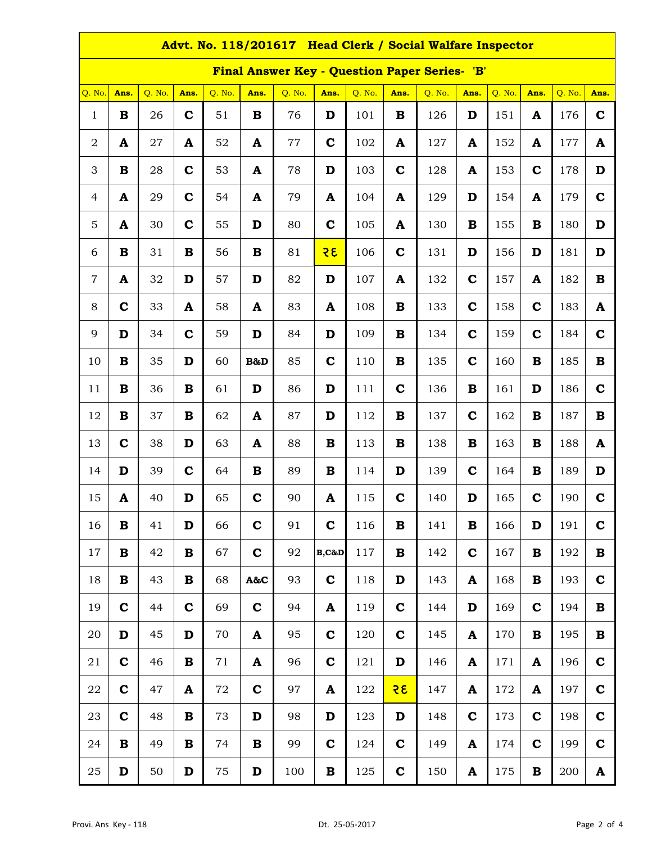| Advt. No. 118/201617 Head Clerk / Social Walfare Inspector |             |        |             |             |             |        |             |        |             |        |             |        |             |        |              |
|------------------------------------------------------------|-------------|--------|-------------|-------------|-------------|--------|-------------|--------|-------------|--------|-------------|--------|-------------|--------|--------------|
| <b>Final Answer Key - Question Paper Series- 'B'</b>       |             |        |             |             |             |        |             |        |             |        |             |        |             |        |              |
| Q. No.                                                     | Ans.        | Q. No. | Ans.        | Q. No.      | Ans.        | Q. No. | Ans.        | Q. No. | Ans.        | Q. No. | Ans.        | Q. No. | Ans.        | Q. No. | Ans.         |
| $\mathbf{1}$                                               | B           | 26     | $\mathbf c$ | 51          | B           | 76     | D           | 101    | B           | 126    | D           | 151    | A           | 176    | $\mathbf c$  |
| $\boldsymbol{2}$                                           | A           | 27     | A           | 52          | A           | 77     | $\mathbf C$ | 102    | A           | 127    | A           | 152    | A           | 177    | A            |
| 3                                                          | $\bf{B}$    | 28     | $\mathbf C$ | 53          | A           | 78     | D           | 103    | $\mathbf c$ | 128    | A           | 153    | $\mathbf c$ | 178    | D            |
| $\overline{4}$                                             | A           | 29     | $\mathbf C$ | 54          | A           | 79     | A           | 104    | A           | 129    | D           | 154    | A           | 179    | $\mathbf c$  |
| 5                                                          | A           | 30     | $\mathbf C$ | 55          | D           | 80     | $\mathbf C$ | 105    | A           | 130    | B           | 155    | B           | 180    | D            |
| 6                                                          | $\mathbf B$ | 31     | $\bf{B}$    | 56          | $\bf{B}$    | 81     | 35          | 106    | $\mathbf c$ | 131    | D           | 156    | D           | 181    | D            |
| $\overline{7}$                                             | A           | 32     | D           | 57          | D           | 82     | D           | 107    | A           | 132    | $\mathbf C$ | 157    | A           | 182    | B            |
| 8                                                          | $\mathbf C$ | 33     | A           | 58          | A           | 83     | A           | 108    | B           | 133    | $\mathbf c$ | 158    | $\mathbf c$ | 183    | A            |
| 9                                                          | D           | 34     | $\mathbf C$ | 59          | D           | 84     | D           | 109    | $\mathbf B$ | 134    | $\mathbf C$ | 159    | $\mathbf C$ | 184    | $\mathbf c$  |
| 10                                                         | $\bf{B}$    | 35     | D           | 60          | B&D         | 85     | $\mathbf C$ | 110    | $\bf{B}$    | 135    | $\mathbf C$ | 160    | $\mathbf B$ | 185    | $\mathbf B$  |
| 11                                                         | $\mathbf B$ | 36     | B           | 61          | D           | 86     | D           | 111    | $\mathbf c$ | 136    | B           | 161    | D           | 186    | $\mathbf c$  |
| 12                                                         | B           | 37     | B           | 62          | A           | 87     | D           | 112    | B           | 137    | $\mathbf c$ | 162    | B           | 187    | B            |
| 13                                                         | $\mathbf c$ | 38     | D           | 63          | A           | 88     | B           | 113    | $\mathbf B$ | 138    | $\mathbf B$ | 163    | $\mathbf B$ | 188    | A            |
| 14                                                         | D           | 39     | $\mathbf c$ | 64          | B           | 89     | B           | 114    | D           | 139    | $\mathbf C$ | 164    | B           | 189    | D            |
| 15                                                         | A           | 40     | D           | 65          | $\mathbf c$ | 90     | A           | 115    | $\mathbf c$ | 140    | D           | 165    | $\mathbf C$ | 190    | $\mathbf c$  |
| 16                                                         | В           | 41     | D           | 66          | $\mathbf c$ | 91     | $\mathbf C$ | 116    | B           | 141    | B           | 166    | D           | 191    | $\mathbf c$  |
| 17                                                         | B           | 42     | $\mathbf B$ | 67          | $\mathbf c$ | 92     | $B, C\&D$   | 117    | B           | 142    | $\mathbf c$ | 167    | B           | 192    | $\, {\bf B}$ |
| 18                                                         | B           | 43     | $\mathbf B$ | 68          | A&C         | 93     | $\mathbf C$ | 118    | D           | 143    | A           | 168    | B           | 193    | $\mathbf c$  |
| 19                                                         | $\mathbf c$ | 44     | $\mathbf c$ | 69          | $\mathbf C$ | 94     | A           | 119    | $\mathbf C$ | 144    | D           | 169    | $\mathbf c$ | 194    | B            |
| 20                                                         | D           | 45     | D           | 70          | A           | 95     | $\mathbf C$ | 120    | $\mathbf c$ | 145    | A           | 170    | B           | 195    | $\bf{B}$     |
| 21                                                         | $\mathbf c$ | 46     | $\bf{B}$    | $7\sqrt{1}$ | A           | 96     | $\mathbf C$ | 121    | D           | 146    | A           | 171    | A           | 196    | $\mathbf c$  |
| 22                                                         | $\mathbf c$ | 47     | A           | 72          | $\mathbf c$ | 97     | A           | 122    | <u>२६</u>   | 147    | A           | 172    | A           | 197    | $\mathbf c$  |
| 23                                                         | $\mathbf C$ | 48     | B           | 73          | D           | 98     | D           | 123    | D           | 148    | $\mathbf c$ | 173    | $\mathbf c$ | 198    | $\mathbf c$  |
| 24                                                         | $\mathbf B$ | 49     | $\bf{B}$    | 74          | B           | 99     | $\mathbf C$ | 124    | $\mathbf c$ | 149    | A           | 174    | $\mathbf c$ | 199    | $\mathbf c$  |
| 25                                                         | D           | 50     | D           | 75          | D           | 100    | B           | 125    | $\mathbf C$ | 150    | A           | 175    | B           | 200    | $\mathbf A$  |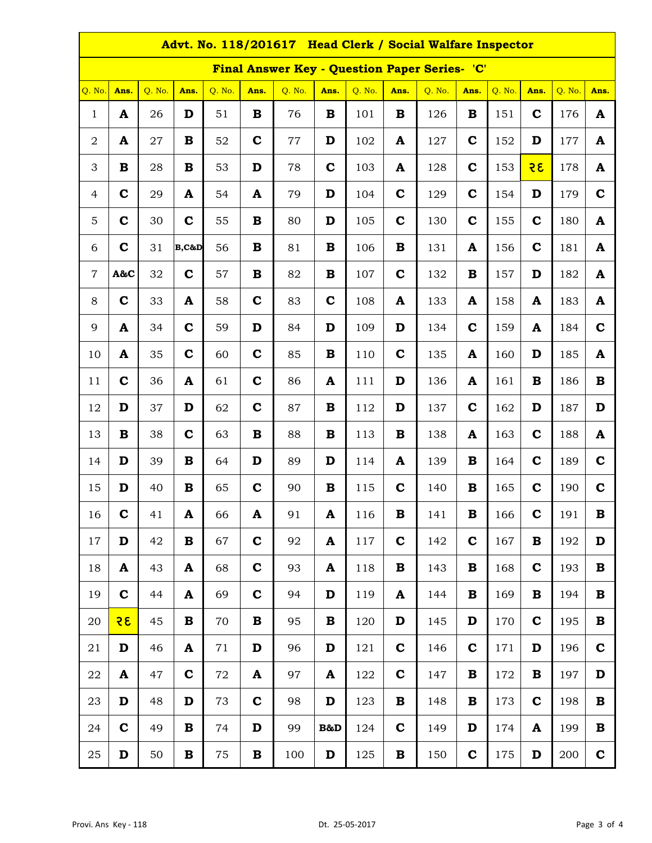| Advt. No. 118/201617 Head Clerk / Social Walfare Inspector |             |        |              |        |             |        |             |        |             |        |             |        |             |        |              |
|------------------------------------------------------------|-------------|--------|--------------|--------|-------------|--------|-------------|--------|-------------|--------|-------------|--------|-------------|--------|--------------|
| Final Answer Key - Question Paper Series- 'C'              |             |        |              |        |             |        |             |        |             |        |             |        |             |        |              |
| Q. No.                                                     | Ans.        | Q. No. | Ans.         | Q. No. | Ans.        | Q. No. | Ans.        | Q. No. | Ans.        | Q. No. | Ans.        | Q. No. | Ans.        | Q. No. | Ans.         |
| $\mathbf{1}$                                               | A           | 26     | D            | 51     | B           | 76     | B           | 101    | B           | 126    | B           | 151    | $\mathbf c$ | 176    | A            |
| $\sqrt{2}$                                                 | A           | 27     | B            | 52     | $\mathbf c$ | 77     | D           | 102    | ${\bf A}$   | 127    | $\mathbf c$ | 152    | D           | 177    | $\mathbf{A}$ |
| 3                                                          | $\bf{B}$    | 28     | $\bf{B}$     | 53     | D           | 78     | $\mathbf C$ | 103    | A           | 128    | $\mathbf C$ | 153    | 35          | 178    | $\mathbf{A}$ |
| $\overline{4}$                                             | $\mathbf C$ | 29     | A            | 54     | A           | 79     | D           | 104    | $\mathbf c$ | 129    | $\mathbf c$ | 154    | D           | 179    | $\mathbf C$  |
| 5                                                          | $\mathbf C$ | 30     | $\mathbf C$  | 55     | $\bf{B}$    | 80     | D           | 105    | $\mathbf C$ | 130    | $\mathbf C$ | 155    | $\mathbf C$ | 180    | $\mathbf{A}$ |
| 6                                                          | $\mathbf C$ | 31     | $B, C\&D$    | 56     | B           | 81     | B           | 106    | B           | 131    | A           | 156    | $\mathbf C$ | 181    | A            |
| $\overline{7}$                                             | A&C         | 32     | $\mathbf C$  | 57     | B           | 82     | B           | 107    | $\mathbf c$ | 132    | B           | 157    | D           | 182    | A            |
| 8                                                          | $\mathbf C$ | 33     | A            | 58     | $\mathbf C$ | 83     | $\mathbf C$ | 108    | A           | 133    | A           | 158    | A           | 183    | A            |
| 9                                                          | A           | 34     | $\mathbf C$  | 59     | D           | 84     | D           | 109    | D           | 134    | $\mathbf C$ | 159    | A           | 184    | $\mathbf c$  |
| 10                                                         | A           | 35     | $\mathbf C$  | 60     | $\mathbf c$ | 85     | B           | 110    | $\mathbf c$ | 135    | A           | 160    | D           | 185    | A            |
| 11                                                         | $\mathbf C$ | 36     | A            | 61     | $\mathbf C$ | 86     | A           | 111    | D           | 136    | A           | 161    | B           | 186    | B            |
| 12                                                         | D           | 37     | D            | 62     | $\mathbf C$ | 87     | B           | 112    | D           | 137    | $\mathbf c$ | 162    | D           | 187    | D            |
| 13                                                         | B           | 38     | $\mathbf C$  | 63     | B           | 88     | B           | 113    | B           | 138    | A           | 163    | $\mathbf C$ | 188    | A            |
| 14                                                         | D           | 39     | $\mathbf B$  | 64     | D           | 89     | D           | 114    | A           | 139    | $\mathbf B$ | 164    | $\mathbf C$ | 189    | $\mathbf C$  |
| 15                                                         | D           | 40     | $\mathbf B$  | 65     | $\mathbf c$ | 90     | B           | 115    | $\mathbf c$ | 140    | $\mathbf B$ | 165    | $\mathbf C$ | 190    | $\mathbf C$  |
| 16                                                         | $\mathbf c$ | 41     | A            | 66     | A           | 91     | A           | 116    | В           | 141    | В           | 166    | $\mathbf c$ | 191    | В            |
| 17                                                         | D           | 42     | B            | 67     | $\mathbf c$ | 92     | A           | 117    | $\mathbf c$ | 142    | $\mathbf c$ | 167    | B           | 192    | D            |
| 18                                                         | A           | 43     | $\mathbf{A}$ | 68     | $\mathbf c$ | 93     | A           | 118    | B           | 143    | B           | 168    | $\mathbf c$ | 193    | B            |
| 19                                                         | $\mathbf C$ | 44     | A            | 69     | $\mathbf C$ | 94     | D           | 119    | A           | 144    | B           | 169    | B           | 194    | B            |
| 20                                                         | २६          | 45     | $\mathbf B$  | 70     | $\bf{B}$    | 95     | B           | 120    | D           | 145    | D           | 170    | $\mathbf c$ | 195    | $\bf{B}$     |
| 21                                                         | D           | 46     | $\mathbf{A}$ | 71     | D           | 96     | D           | 121    | $\mathbf c$ | 146    | $\mathbf c$ | 171    | D           | 196    | $\mathbf c$  |
| 22                                                         | A           | 47     | $\mathbf C$  | 72     | A           | 97     | A           | 122    | $\mathbf c$ | 147    | B           | 172    | B           | 197    | D            |
| 23                                                         | D           | 48     | D            | 73     | $\mathbf c$ | 98     | D           | 123    | B           | 148    | B           | 173    | $\mathbf c$ | 198    | B            |
| 24                                                         | $\mathbf c$ | 49     | B            | 74     | D           | 99     | B&D         | 124    | $\mathbf c$ | 149    | D           | 174    | A           | 199    | B            |
| 25                                                         | D           | 50     | $\bf{B}$     | 75     | $\bf{B}$    | 100    | D           | 125    | $\bf{B}$    | 150    | $\mathbf C$ | 175    | D           | 200    | $\mathbf C$  |